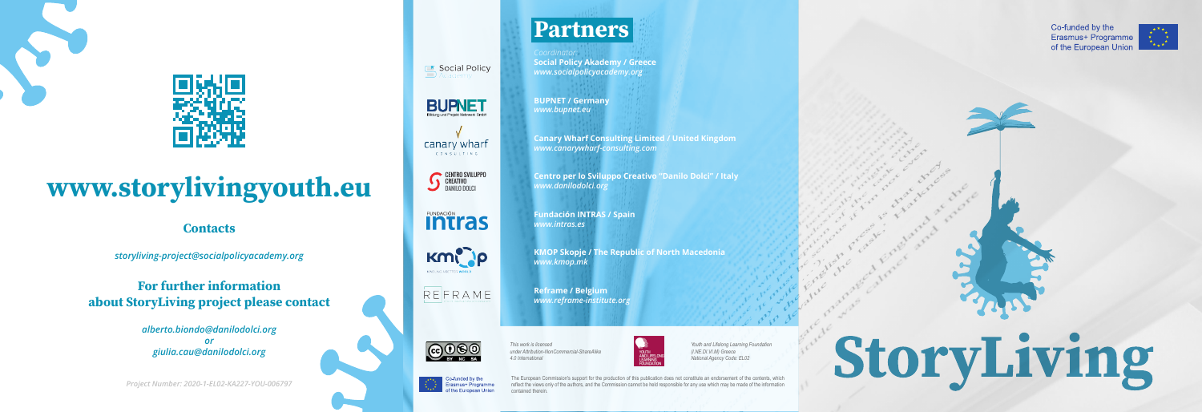



## www.storylivingyouth.eu

#### **Contacts**

The European Commission's support for the production of this publication does not constitute an endorsement of the contents, which reflect the views only of the authors, and the Commission cannot be held responsible for any use which may be made of the information contained therein.

**intras** 

*This work is licensed under Attribution-NonCommercial-ShareAlike 4.0 International* 



*Youth and Lifelong Learning Foundation (I.NE.DI.VI.M) Greece National Agency Code: EL02*



*storyliving-project@socialpolicyacademy.org* 

**For further information** about StoryLiving project please contact

> *alberto.biondo@danilodolci.org or giulia.cau@danilodolci.org*

*Project Number: 2020-1-EL02-KA227-YOU-006797*



*Coordinator:*  **Social Policy Akademy / Greece** *www.socialpolicyacademy.org* 

**BUPNET** 

**BUPNET / Germany** *www.bupnet.eu*

**Canary Wharf Consulting Limited / United Kingdom** *www.canarywharf-consulting.com* 

**Centro per lo Sviluppo Creativo "Danilo Dolci" / Italy** *www.danilodolci.org* 

**Fundación INTRAS / Spain** *www.intras.es*

**KMOP Skopje / The Republic of North Macedonia** *www.kmop.mk* 

**Reframe / Belgium** *www.reframe-institute.org*



CENTRO SVILUPPO CREATIVO DANILO DOLCI

**E** Social Policy

canary wharf **CONSULTING** 





Co-funded by the Erasmus+ Programme of the European Union



# StoryLiving